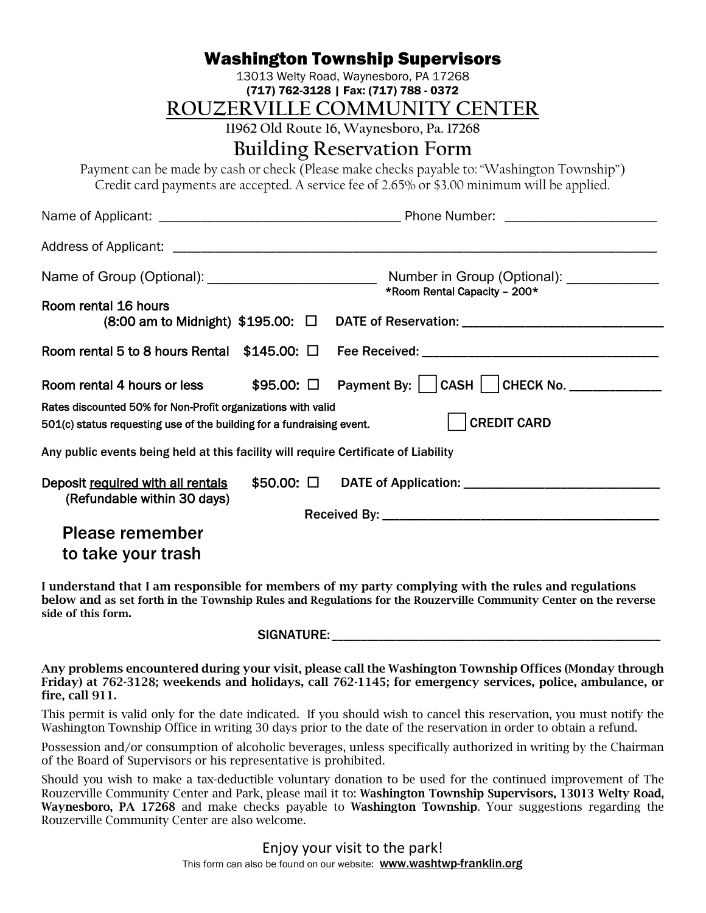| <b>Washington Township Supervisors</b>                                                                                                                                                      |                                                                   |
|---------------------------------------------------------------------------------------------------------------------------------------------------------------------------------------------|-------------------------------------------------------------------|
| 13013 Welty Road, Waynesboro, PA 17268<br>(717) 762-3128   Fax: (717) 788 - 0372                                                                                                            |                                                                   |
| ROUZERVILLE COMMUNITY CENTER                                                                                                                                                                |                                                                   |
| 11962 Old Route 16, Waynesboro, Pa. 17268                                                                                                                                                   |                                                                   |
| <b>Building Reservation Form</b>                                                                                                                                                            |                                                                   |
| Payment can be made by cash or check (Please make checks payable to: "Washington Township")<br>Credit card payments are accepted. A service fee of 2.65% or \$3.00 minimum will be applied. |                                                                   |
|                                                                                                                                                                                             |                                                                   |
|                                                                                                                                                                                             |                                                                   |
|                                                                                                                                                                                             | *Room Rental Capacity - 200*                                      |
| Room rental 16 hours<br>(8:00 am to Midnight) \$195.00: □ DATE of Reservation: __________________________                                                                                   |                                                                   |
|                                                                                                                                                                                             |                                                                   |
| Room rental 4 hours or less                                                                                                                                                                 | \$95.00: $\Box$ Payment By:     CASH     CHECK No. ______________ |
| Rates discounted 50% for Non-Profit organizations with valid<br><b>CREDIT CARD</b><br>501(c) status requesting use of the building for a fundraising event.                                 |                                                                   |
| Any public events being held at this facility will require Certificate of Liability                                                                                                         |                                                                   |
| \$50.00: □<br>Deposit required with all rentals<br>(Refundable within 30 days)                                                                                                              |                                                                   |
|                                                                                                                                                                                             |                                                                   |
| <b>Please remember</b>                                                                                                                                                                      |                                                                   |
| to take your trash                                                                                                                                                                          |                                                                   |

I understand that I am responsible for members of my party complying with the rules and regulations below and as set forth in the Township Rules and Regulations for the Rouzerville Community Center on the reverse side of this form.

## SIGNATURE:

Any problems encountered during your visit, please call the Washington Township Offices (Monday through Friday) at 762-3128; weekends and holidays, call 762-1145; for emergency services, police, ambulance, or fire, call 911.

This permit is valid only for the date indicated. If you should wish to cancel this reservation, you must notify the Washington Township Office in writing 30 days prior to the date of the reservation in order to obtain a refund.

Possession and/or consumption of alcoholic beverages, unless specifically authorized in writing by the Chairman of the Board of Supervisors or his representative is prohibited.

Should you wish to make a tax-deductible voluntary donation to be used for the continued improvement of The Rouzerville Community Center and Park, please mail it to: Washington Township Supervisors, 13013 Welty Road, Waynesboro, PA 17268 and make checks payable to Washington Township. Your suggestions regarding the Rouzerville Community Center are also welcome.